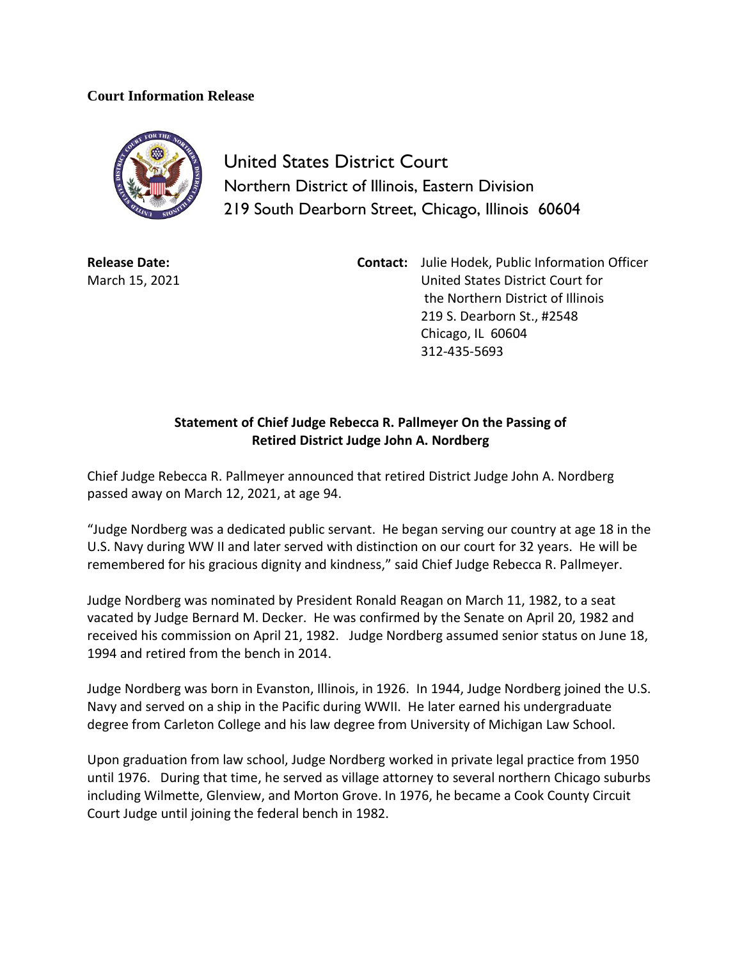## **Court Information Release**



United States District Court Northern District of Illinois, Eastern Division 219 South Dearborn Street, Chicago, Illinois 60604

**Release Date:** March 15, 2021 **Contact:** Julie Hodek, Public Information Officer United States District Court for the Northern District of Illinois 219 S. Dearborn St., #2548 Chicago, IL 60604 312-435-5693

## **Statement of Chief Judge Rebecca R. Pallmeyer On the Passing of Retired District Judge John A. Nordberg**

Chief Judge Rebecca R. Pallmeyer announced that retired District Judge John A. Nordberg passed away on March 12, 2021, at age 94.

"Judge Nordberg was a dedicated public servant. He began serving our country at age 18 in the U.S. Navy during WW II and later served with distinction on our court for 32 years. He will be remembered for his gracious dignity and kindness," said Chief Judge Rebecca R. Pallmeyer.

Judge Nordberg was nominated by President Ronald Reagan on March 11, 1982, to a seat vacated by Judge Bernard M. Decker. He was confirmed by the Senate on April 20, 1982 and received his commission on April 21, 1982. Judge Nordberg assumed senior status on June 18, 1994 and retired from the bench in 2014.

Judge Nordberg was born in Evanston, Illinois, in 1926. In 1944, Judge Nordberg joined the U.S. Navy and served on a ship in the Pacific during WWII. He later earned his undergraduate degree from Carleton College and his law degree from University of Michigan Law School.

Upon graduation from law school, Judge Nordberg worked in private legal practice from 1950 until 1976. During that time, he served as village attorney to several northern Chicago suburbs including Wilmette, Glenview, and Morton Grove. In 1976, he became a Cook County Circuit Court Judge until joining the federal bench in 1982.